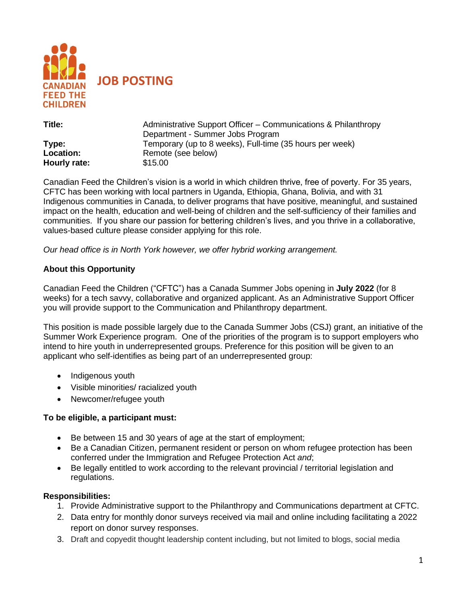

| Title:       | Administrative Support Officer – Communications & Philanthropy |
|--------------|----------------------------------------------------------------|
|              | Department - Summer Jobs Program                               |
| Type:        | Temporary (up to 8 weeks), Full-time (35 hours per week)       |
| Location:    | Remote (see below)                                             |
| Hourly rate: | \$15.00                                                        |

Canadian Feed the Children's vision is a world in which children thrive, free of poverty. For 35 years, CFTC has been working with local partners in Uganda, Ethiopia, Ghana, Bolivia, and with 31 Indigenous communities in Canada, to deliver programs that have positive, meaningful, and sustained impact on the health, education and well-being of children and the self-sufficiency of their families and communities. If you share our passion for bettering children's lives, and you thrive in a collaborative, values-based culture please consider applying for this role.

*Our head office is in North York however, we offer hybrid working arrangement.* 

### **About this Opportunity**

Canadian Feed the Children ("CFTC") has a Canada Summer Jobs opening in **July 2022** (for 8 weeks) for a tech savvy, collaborative and organized applicant. As an Administrative Support Officer you will provide support to the Communication and Philanthropy department.

This position is made possible largely due to the Canada Summer Jobs (CSJ) grant, an initiative of the Summer Work Experience program. One of the priorities of the program is to support employers who intend to hire youth in underrepresented groups. Preference for this position will be given to an applicant who self-identifies as being part of an underrepresented group:

- Indigenous youth
- Visible minorities/ racialized youth
- Newcomer/refugee youth

### **To be eligible, a participant must:**

- Be between 15 and 30 years of age at the start of employment;
- Be a Canadian Citizen, permanent resident or person on whom refugee protection has been conferred under the Immigration and Refugee Protection Act *and*;
- Be legally entitled to work according to the relevant provincial / territorial legislation and regulations.

### **Responsibilities:**

- 1. Provide Administrative support to the Philanthropy and Communications department at CFTC.
- 2. Data entry for monthly donor surveys received via mail and online including facilitating a 2022 report on donor survey responses.
- 3. Draft and copyedit thought leadership content including, but not limited to blogs, social media